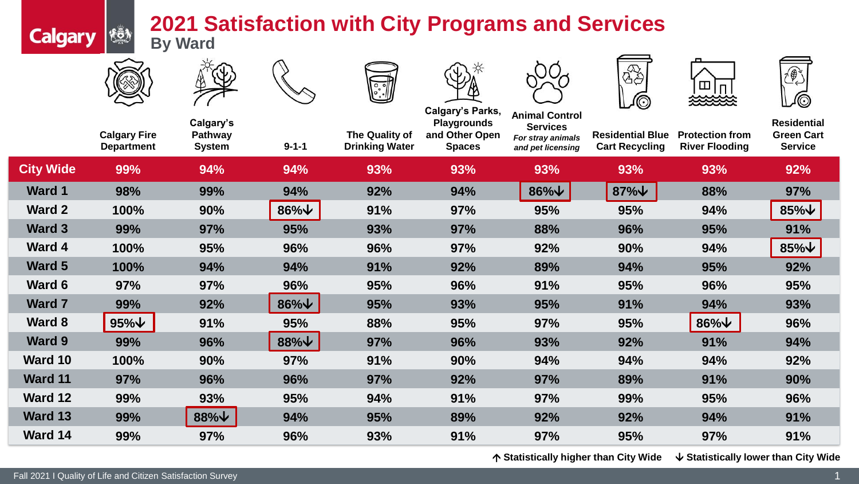## **2021 Satisfaction with City Programs and Services By Ward**



**Calgary &** 







**Calgary's Parks,** 



**Animal Control** 







|                  | <b>Calgary Fire</b><br><b>Department</b> | Calgary's<br><b>Pathway</b><br><b>System</b> | $9 - 1 - 1$        | The Quality of<br><b>Drinking Water</b> | <b>Playgrounds</b><br>and Other Open<br><b>Spaces</b> | AIIIIIIAI VVIIUVI<br><b>Services</b><br>For stray animals<br>and pet licensing | <b>Residential Blue</b><br><b>Cart Recycling</b> | <b>Protection from</b><br><b>River Flooding</b> | <b>Residential</b><br><b>Green Cart</b><br><b>Service</b> |
|------------------|------------------------------------------|----------------------------------------------|--------------------|-----------------------------------------|-------------------------------------------------------|--------------------------------------------------------------------------------|--------------------------------------------------|-------------------------------------------------|-----------------------------------------------------------|
| <b>City Wide</b> | 99%                                      | 94%                                          | 94%                | 93%                                     | 93%                                                   | 93%                                                                            | 93%                                              | 93%                                             | 92%                                                       |
| <b>Ward 1</b>    | 98%                                      | 99%                                          | 94%                | 92%                                     | 94%                                                   | $86\%$ $\vee$                                                                  | $87\%$ $\forall$                                 | 88%                                             | 97%                                                       |
| <b>Ward 2</b>    | 100%                                     | 90%                                          | $86\%$ $\vee$      | 91%                                     | 97%                                                   | 95%                                                                            | 95%                                              | 94%                                             | $85\%$ $\vee$                                             |
| Ward 3           | 99%                                      | <b>97%</b>                                   | 95%                | 93%                                     | 97%                                                   | 88%                                                                            | 96%                                              | 95%                                             | 91%                                                       |
| Ward 4           | 100%                                     | 95%                                          | 96%                | 96%                                     | 97%                                                   | 92%                                                                            | 90%                                              | 94%                                             | $85\%$ $\vee$                                             |
| <b>Ward 5</b>    | 100%                                     | 94%                                          | 94%                | 91%                                     | 92%                                                   | 89%                                                                            | 94%                                              | 95%                                             | 92%                                                       |
| Ward 6           | 97%                                      | 97%                                          | 96%                | 95%                                     | 96%                                                   | 91%                                                                            | 95%                                              | 96%                                             | 95%                                                       |
| <b>Ward 7</b>    | 99%                                      | 92%                                          | $86\%$ $\sqrt{\ }$ | 95%                                     | 93%                                                   | 95%                                                                            | 91%                                              | 94%                                             | 93%                                                       |
| Ward 8           | $95\%$ $\vee$                            | 91%                                          | 95%                | 88%                                     | 95%                                                   | 97%                                                                            | <b>95%</b>                                       | $86\%$ $\sqrt{\ }$                              | 96%                                                       |
| <b>Ward 9</b>    | 99%                                      | 96%                                          | $88\%$ $\vee$      | 97%                                     | 96%                                                   | 93%                                                                            | 92%                                              | 91%                                             | 94%                                                       |
| Ward 10          | 100%                                     | 90%                                          | 97%                | 91%                                     | 90%                                                   | 94%                                                                            | 94%                                              | 94%                                             | 92%                                                       |
| <b>Ward 11</b>   | 97%                                      | 96%                                          | 96%                | 97%                                     | 92%                                                   | 97%                                                                            | 89%                                              | 91%                                             | 90%                                                       |
| Ward 12          | 99%                                      | 93%                                          | 95%                | 94%                                     | 91%                                                   | 97%                                                                            | 99%                                              | 95%                                             | 96%                                                       |
| Ward 13          | 99%                                      | $88\%$ $\sqrt{\ }$                           | 94%                | 95%                                     | 89%                                                   | 92%                                                                            | 92%                                              | 94%                                             | 91%                                                       |
| Ward 14          | 99%                                      | 97%                                          | 96%                | 93%                                     | 91%                                                   | 97%                                                                            | 95%                                              | 97%                                             | 91%                                                       |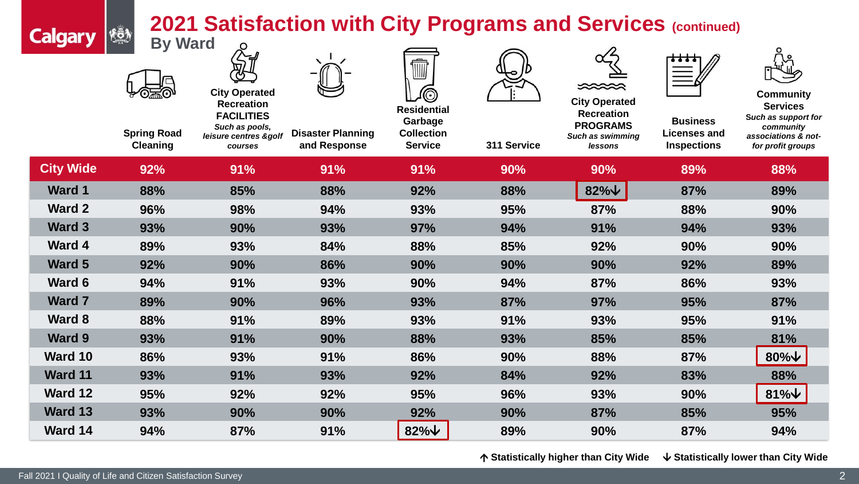## **2021 Satisfaction with City Programs and Services (continued)**

| <b>Calgary</b>   | <b>KÖN</b>                           | 2021 Satisfaction with City Programs and Services (continued)                    |                          |                                                    |             |                                                                   |                                 |                                                                         |  |
|------------------|--------------------------------------|----------------------------------------------------------------------------------|--------------------------|----------------------------------------------------|-------------|-------------------------------------------------------------------|---------------------------------|-------------------------------------------------------------------------|--|
|                  | <b>By Ward</b><br><b>Spring Road</b> | <b>City Operated</b><br><b>Recreation</b><br><b>FACILITIES</b><br>Such as pools, | <b>Disaster Planning</b> | <b>Residential</b><br>Garbage<br><b>Collection</b> |             | ⋙<br><b>City Operated</b><br><b>Recreation</b><br><b>PROGRAMS</b> | <b>Business</b><br>Licenses and | <b>Community</b><br><b>Services</b><br>Such as support for<br>community |  |
|                  | <b>Cleaning</b>                      | leisure centres &golf<br>courses                                                 | and Response             | <b>Service</b>                                     | 311 Service | Such as swimming<br>lessons                                       | <b>Inspections</b>              | associations & not-<br>for profit groups                                |  |
| <b>City Wide</b> | 92%                                  | 91%                                                                              | 91%                      | 91%                                                | 90%         | 90%                                                               | 89%                             | 88%                                                                     |  |
| <b>Ward 1</b>    | 88%                                  | 85%                                                                              | 88%                      | 92%                                                | 88%         | $82\%$ $\vee$                                                     | 87%                             | 89%                                                                     |  |
| Ward 2           | 96%                                  | 98%                                                                              | 94%                      | 93%                                                | 95%         | 87%                                                               | 88%                             | 90%                                                                     |  |
| Ward 3           | 93%                                  | 90%                                                                              | 93%                      | 97%                                                | 94%         | 91%                                                               | 94%                             | 93%                                                                     |  |
| Ward 4           | 89%                                  | 93%                                                                              | 84%                      | 88%                                                | 85%         | 92%                                                               | 90%                             | 90%                                                                     |  |
| Ward 5           | 92%                                  | 90%                                                                              | 86%                      | 90%                                                | 90%         | 90%                                                               | 92%                             | 89%                                                                     |  |
| Ward 6           | 94%                                  | 91%                                                                              | 93%                      | 90%                                                | 94%         | 87%                                                               | 86%                             | 93%                                                                     |  |
| <b>Ward 7</b>    | 89%                                  | 90%                                                                              | 96%                      | 93%                                                | 87%         | 97%                                                               | 95%                             | 87%                                                                     |  |
| Ward 8           | 88%                                  | 91%                                                                              | 89%                      | 93%                                                | 91%         | 93%                                                               | 95%                             | 91%                                                                     |  |
| Ward 9           | 93%                                  | 91%                                                                              | 90%                      | 88%                                                | 93%         | 85%                                                               | 85%                             | 81%                                                                     |  |
| Ward 10          | 86%                                  | 93%                                                                              | 91%                      | 86%                                                | 90%         | 88%                                                               | 87%                             | $80\%$ $\downarrow$                                                     |  |
| Ward 11          | 93%                                  | 91%                                                                              | 93%                      | 92%                                                | 84%         | 92%                                                               | 83%                             | 88%                                                                     |  |
| Ward 12          | 95%                                  | 92%                                                                              | 92%                      | 95%                                                | 96%         | 93%                                                               | 90%                             | $81\%$ $\downarrow$                                                     |  |
| Ward 13          | 93%                                  | 90%                                                                              | 90%                      | 92%                                                | 90%         | 87%                                                               | 85%                             | 95%                                                                     |  |
| Ward 14          | 94%                                  | 87%                                                                              | 91%                      | $82\%$ $\downarrow$                                | 89%         | 90%                                                               | 87%                             | 94%                                                                     |  |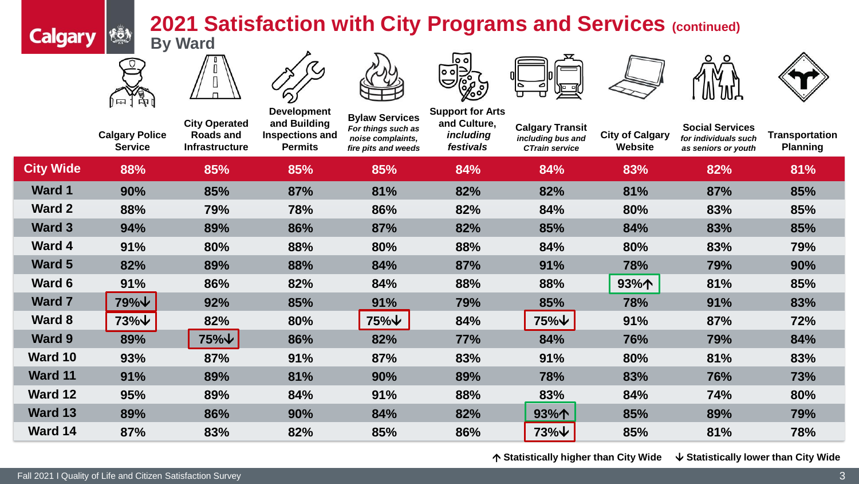## **2021 Satisfaction with City Programs and Services (continued) By Ward**



łō)

**Calgary** 















|                  | <b>Calgary Police</b><br><b>Service</b> | <b>City Operated</b><br><b>Roads and</b><br><b>Infrastructure</b> | <b>Development</b><br>and Building<br>Inspections and<br><b>Permits</b> | <b>Bylaw Services</b><br>For things such as<br>noise complaints,<br>fire pits and weeds | <b>Support for Arts</b><br>and Culture,<br>including<br>festivals | <b>Calgary Transit</b><br>including bus and<br><b>CTrain service</b> | <b>City of Calgary</b><br><b>Website</b> | <b>Social Services</b><br>for individuals such<br>as seniors or youth | <b>Transportation</b><br><b>Planning</b> |
|------------------|-----------------------------------------|-------------------------------------------------------------------|-------------------------------------------------------------------------|-----------------------------------------------------------------------------------------|-------------------------------------------------------------------|----------------------------------------------------------------------|------------------------------------------|-----------------------------------------------------------------------|------------------------------------------|
| <b>City Wide</b> | 88%                                     | 85%                                                               | 85%                                                                     | 85%                                                                                     | 84%                                                               | 84%                                                                  | 83%                                      | 82%                                                                   | 81%                                      |
| <b>Ward 1</b>    | 90%                                     | 85%                                                               | 87%                                                                     | 81%                                                                                     | 82%                                                               | 82%                                                                  | 81%                                      | 87%                                                                   | 85%                                      |
| <b>Ward 2</b>    | 88%                                     | 79%                                                               | 78%                                                                     | 86%                                                                                     | 82%                                                               | 84%                                                                  | 80%                                      | 83%                                                                   | 85%                                      |
| <b>Ward 3</b>    | 94%                                     | 89%                                                               | 86%                                                                     | 87%                                                                                     | 82%                                                               | 85%                                                                  | 84%                                      | 83%                                                                   | 85%                                      |
| Ward 4           | 91%                                     | 80%                                                               | 88%                                                                     | 80%                                                                                     | 88%                                                               | 84%                                                                  | 80%                                      | 83%                                                                   | 79%                                      |
| <b>Ward 5</b>    | 82%                                     | 89%                                                               | 88%                                                                     | 84%                                                                                     | 87%                                                               | 91%                                                                  | 78%                                      | 79%                                                                   | 90%                                      |
| <b>Ward 6</b>    | 91%                                     | 86%                                                               | 82%                                                                     | 84%                                                                                     | 88%                                                               | 88%                                                                  | 93%个                                     | 81%                                                                   | 85%                                      |
| <b>Ward 7</b>    | 79%↓                                    | 92%                                                               | 85%                                                                     | 91%                                                                                     | 79%                                                               | 85%                                                                  | 78%                                      | 91%                                                                   | 83%                                      |
| <b>Ward 8</b>    | 73%↓                                    | 82%                                                               | 80%                                                                     | $75\%$ $\forall$                                                                        | 84%                                                               | 75%↓                                                                 | 91%                                      | 87%                                                                   | 72%                                      |
| <b>Ward 9</b>    | 89%                                     | 75%↓                                                              | 86%                                                                     | 82%                                                                                     | 77%                                                               | 84%                                                                  | 76%                                      | 79%                                                                   | 84%                                      |
| Ward 10          | 93%                                     | 87%                                                               | 91%                                                                     | 87%                                                                                     | 83%                                                               | 91%                                                                  | 80%                                      | 81%                                                                   | 83%                                      |
| <b>Ward 11</b>   | 91%                                     | 89%                                                               | 81%                                                                     | 90%                                                                                     | 89%                                                               | 78%                                                                  | 83%                                      | 76%                                                                   | 73%                                      |
| <b>Ward 12</b>   | 95%                                     | 89%                                                               | 84%                                                                     | 91%                                                                                     | 88%                                                               | 83%                                                                  | 84%                                      | 74%                                                                   | 80%                                      |
| Ward 13          | 89%                                     | 86%                                                               | 90%                                                                     | 84%                                                                                     | 82%                                                               | 93%个                                                                 | 85%                                      | 89%                                                                   | 79%                                      |
| Ward 14          | 87%                                     | 83%                                                               | 82%                                                                     | 85%                                                                                     | 86%                                                               | $73\%$ $\vee$                                                        | 85%                                      | 81%                                                                   | 78%                                      |